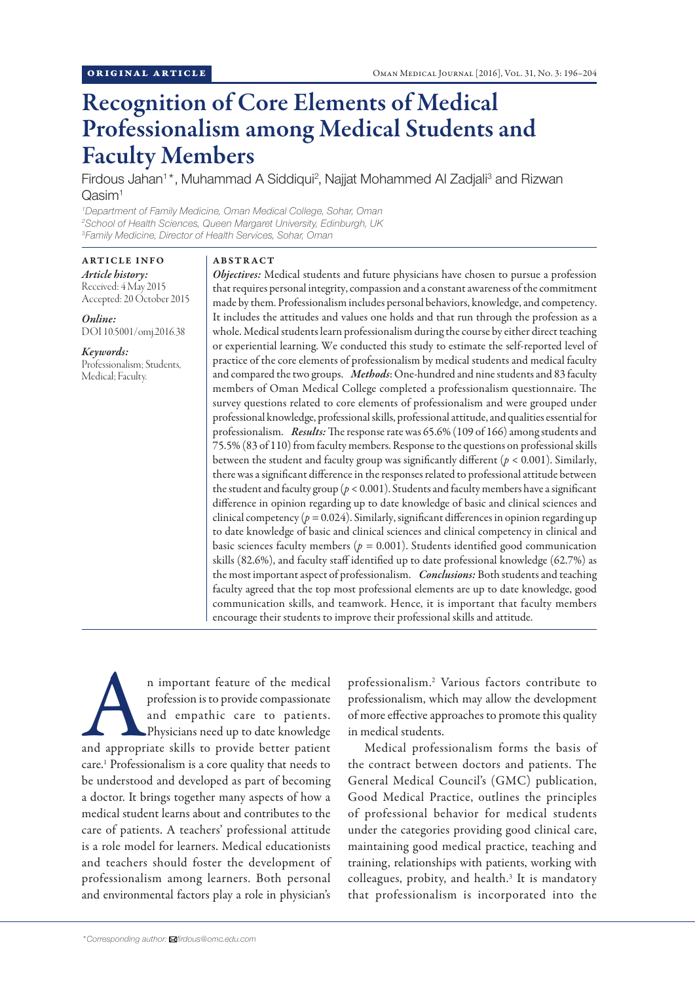# Recognition of Core Elements of Medical Professionalism among Medical Students and Faculty Members

Firdous Jahan<sup>1\*</sup>, Muhammad A Siddiqui<sup>2</sup>, Najjat Mohammed Al Zadjali<sup>3</sup> and Rizwan Qasim<sup>1</sup>

*1 Department of Family Medicine, Oman Medical College, Sohar, Oman 2 School of Health Sciences, Queen Margaret University, Edinburgh, UK 3 Family Medicine, Director of Health Services, Sohar, Oman*

ARTICLE INFO *Article history:* Received: 4 May 2015 Accepted: 20 October 2015

*Online:* DOI 10.5001/omj.2016.38

*Keywords:* Professionalism; Students, Medical; Faculty.

# ABSTRACT

*Objectives:* Medical students and future physicians have chosen to pursue a profession that requires personal integrity, compassion and a constant awareness of the commitment made by them. Professionalism includes personal behaviors, knowledge, and competency. It includes the attitudes and values one holds and that run through the profession as a whole. Medical students learn professionalism during the course by either direct teaching or experiential learning. We conducted this study to estimate the self-reported level of practice of the core elements of professionalism by medical students and medical faculty and compared the two groups. *Methods*: One-hundred and nine students and 83 faculty members of Oman Medical College completed a professionalism questionnaire. The survey questions related to core elements of professionalism and were grouped under professional knowledge, professional skills, professional attitude, and qualities essential for professionalism. *Results:* The response rate was 65.6% (109 of 166) among students and 75.5% (83 of 110) from faculty members. Response to the questions on professional skills between the student and faculty group was significantly different (*p* < 0.001). Similarly, there was a significant difference in the responses related to professional attitude between the student and faculty group (*p* < 0.001). Students and faculty members have a significant difference in opinion regarding up to date knowledge of basic and clinical sciences and clinical competency (*p =* 0.024). Similarly, significant differences in opinion regarding up to date knowledge of basic and clinical sciences and clinical competency in clinical and basic sciences faculty members (*p =* 0.001). Students identified good communication skills (82.6%), and faculty staff identified up to date professional knowledge (62.7%) as the most important aspect of professionalism. *Conclusions:* Both students and teaching faculty agreed that the top most professional elements are up to date knowledge, good communication skills, and teamwork. Hence, it is important that faculty members encourage their students to improve their professional skills and attitude.

n important feature of the medical<br>
profession is to provide compassionate<br>
and empathic care to patients.<br>
Physicians need up to date knowledge<br>
and appropriate skills to provide better patient profession is to provide compassionate and empathic care to patients. Physicians need up to date knowledge care.1 Professionalism is a core quality that needs to be understood and developed as part of becoming a doctor. It brings together many aspects of how a medical student learns about and contributes to the care of patients. A teachers' professional attitude is a role model for learners. Medical educationists and teachers should foster the development of professionalism among learners. Both personal and environmental factors play a role in physician's

professionalism.<sup>2</sup> Various factors contribute to professionalism, which may allow the development of more effective approaches to promote this quality in medical students.

Medical professionalism forms the basis of the contract between doctors and patients. The General Medical Council's (GMC) publication, Good Medical Practice, outlines the principles of professional behavior for medical students under the categories providing good clinical care, maintaining good medical practice, teaching and training, relationships with patients, working with colleagues, probity, and health.<sup>3</sup> It is mandatory that professionalism is incorporated into the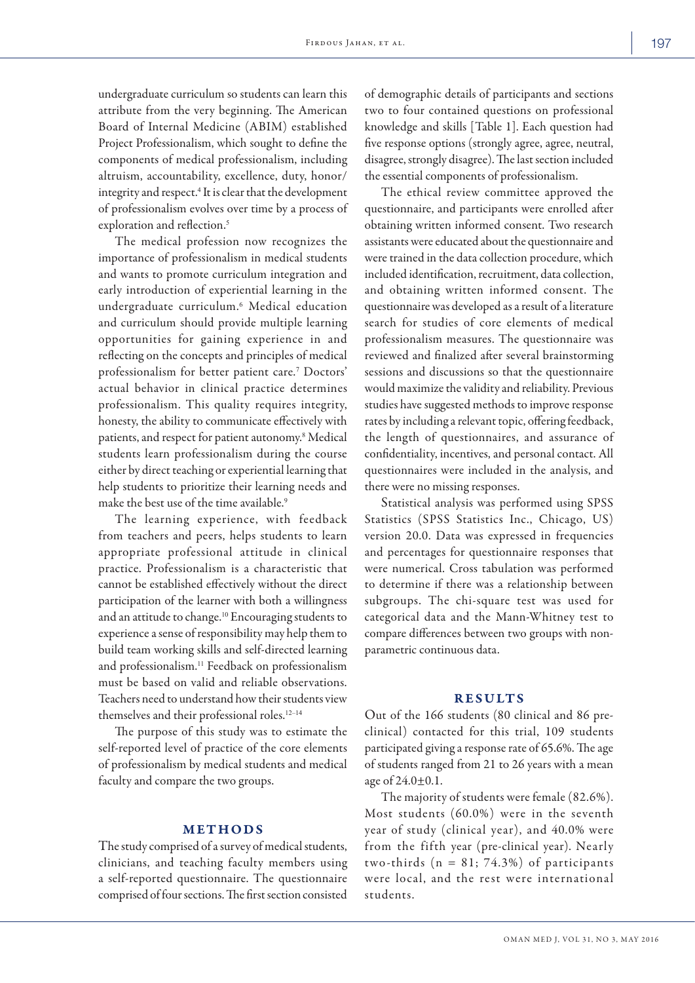undergraduate curriculum so students can learn this attribute from the very beginning. The American Board of Internal Medicine (ABIM) established Project Professionalism, which sought to define the components of medical professionalism, including altruism, accountability, excellence, duty, honor/ integrity and respect.<sup>4</sup> It is clear that the development of professionalism evolves over time by a process of exploration and reflection.<sup>5</sup>

The medical profession now recognizes the importance of professionalism in medical students and wants to promote curriculum integration and early introduction of experiential learning in the undergraduate curriculum.<sup>6</sup> Medical education and curriculum should provide multiple learning opportunities for gaining experience in and reflecting on the concepts and principles of medical professionalism for better patient care.<sup>7</sup> Doctors' actual behavior in clinical practice determines professionalism. This quality requires integrity, honesty, the ability to communicate effectively with patients, and respect for patient autonomy.<sup>8</sup> Medical students learn professionalism during the course either by direct teaching or experiential learning that help students to prioritize their learning needs and make the best use of the time available.<sup>9</sup>

The learning experience, with feedback from teachers and peers, helps students to learn appropriate professional attitude in clinical practice. Professionalism is a characteristic that cannot be established effectively without the direct participation of the learner with both a willingness and an attitude to change.10 Encouraging students to experience a sense of responsibility may help them to build team working skills and self-directed learning and professionalism.<sup>11</sup> Feedback on professionalism must be based on valid and reliable observations. Teachers need to understand how their students view themselves and their professional roles.12–14

The purpose of this study was to estimate the self-reported level of practice of the core elements of professionalism by medical students and medical faculty and compare the two groups.

### METHODS

The study comprised of a survey of medical students, clinicians, and teaching faculty members using a self-reported questionnaire. The questionnaire comprised of four sections. The first section consisted

of demographic details of participants and sections two to four contained questions on professional knowledge and skills [Table 1]. Each question had five response options (strongly agree, agree, neutral, disagree, strongly disagree). The last section included the essential components of professionalism.

The ethical review committee approved the questionnaire, and participants were enrolled after obtaining written informed consent. Two research assistants were educated about the questionnaire and were trained in the data collection procedure, which included identification, recruitment, data collection, and obtaining written informed consent. The questionnaire was developed as a result of a literature search for studies of core elements of medical professionalism measures. The questionnaire was reviewed and finalized after several brainstorming sessions and discussions so that the questionnaire would maximize the validity and reliability. Previous studies have suggested methods to improve response rates by including a relevant topic, offering feedback, the length of questionnaires, and assurance of confidentiality, incentives, and personal contact. All questionnaires were included in the analysis, and there were no missing responses.

Statistical analysis was performed using SPSS Statistics (SPSS Statistics Inc., Chicago, US) version 20.0. Data was expressed in frequencies and percentages for questionnaire responses that were numerical. Cross tabulation was performed to determine if there was a relationship between subgroups. The chi-square test was used for categorical data and the Mann-Whitney test to compare differences between two groups with nonparametric continuous data.

# **RESULTS**

Out of the 166 students (80 clinical and 86 preclinical) contacted for this trial, 109 students participated giving a response rate of 65.6%. The age of students ranged from 21 to 26 years with a mean age of 24.0±0.1.

The majority of students were female (82.6%). Most students (60.0%) were in the seventh year of study (clinical year), and 40.0% were from the fifth year (pre-clinical year). Nearly two-thirds ( $n = 81$ ; 74.3%) of participants were local, and the rest were international students.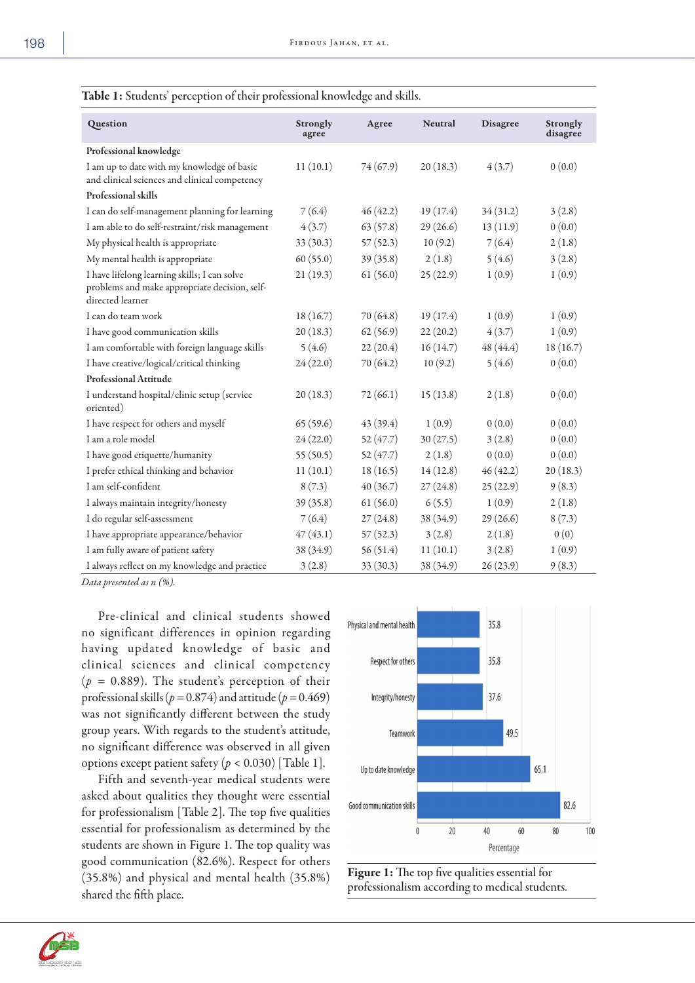| Question                                                                                                          | <b>Strongly</b><br>agree | Agree     | <b>Neutral</b> | <b>Disagree</b> | <b>Strongly</b><br>disagree |
|-------------------------------------------------------------------------------------------------------------------|--------------------------|-----------|----------------|-----------------|-----------------------------|
| Professional knowledge                                                                                            |                          |           |                |                 |                             |
| I am up to date with my knowledge of basic<br>and clinical sciences and clinical competency                       | 11(10.1)                 | 74(67.9)  | 20(18.3)       | 4(3.7)          | 0(0.0)                      |
| Professional skills                                                                                               |                          |           |                |                 |                             |
| I can do self-management planning for learning                                                                    | 7(6.4)                   | 46(42.2)  | 19(17.4)       | 34(31.2)        | 3(2.8)                      |
| I am able to do self-restraint/risk management                                                                    | 4(3.7)                   | 63(57.8)  | 29(26.6)       | 13(11.9)        | 0(0.0)                      |
| My physical health is appropriate                                                                                 | 33(30.3)                 | 57(52.3)  | 10(9.2)        | 7(6.4)          | 2(1.8)                      |
| My mental health is appropriate                                                                                   | 60(55.0)                 | 39(35.8)  | 2(1.8)         | 5(4.6)          | 3(2.8)                      |
| I have lifelong learning skills; I can solve<br>problems and make appropriate decision, self-<br>directed learner | 21(19.3)                 | 61(56.0)  | 25(22.9)       | 1(0.9)          | 1(0.9)                      |
| I can do team work                                                                                                | 18(16.7)                 | 70 (64.8) | 19(17.4)       | 1(0.9)          | 1(0.9)                      |
| I have good communication skills                                                                                  | 20(18.3)                 | 62(56.9)  | 22(20.2)       | 4(3.7)          | 1(0.9)                      |
| I am comfortable with foreign language skills                                                                     | 5(4.6)                   | 22(20.4)  | 16(14.7)       | 48 (44.4)       | 18(16.7)                    |
| I have creative/logical/critical thinking                                                                         | 24(22.0)                 | 70 (64.2) | 10(9.2)        | 5(4.6)          | 0(0.0)                      |
| <b>Professional Attitude</b>                                                                                      |                          |           |                |                 |                             |
| I understand hospital/clinic setup (service<br>oriented)                                                          | 20(18.3)                 | 72(66.1)  | 15(13.8)       | 2(1.8)          | 0(0.0)                      |
| I have respect for others and myself                                                                              | 65(59.6)                 | 43 (39.4) | 1(0.9)         | 0(0.0)          | 0(0.0)                      |
| I am a role model                                                                                                 | 24(22.0)                 | 52 (47.7) | 30(27.5)       | 3(2.8)          | 0(0.0)                      |
| I have good etiquette/humanity                                                                                    | 55(50.5)                 | 52(47.7)  | 2(1.8)         | 0(0.0)          | 0(0.0)                      |
| I prefer ethical thinking and behavior                                                                            | 11(10.1)                 | 18(16.5)  | 14(12.8)       | 46(42.2)        | 20(18.3)                    |
| I am self-confident                                                                                               | 8(7.3)                   | 40(36.7)  | 27(24.8)       | 25(22.9)        | 9(8.3)                      |
| I always maintain integrity/honesty                                                                               | 39(35.8)                 | 61(56.0)  | 6(5.5)         | 1(0.9)          | 2(1.8)                      |
| I do regular self-assessment                                                                                      | 7(6.4)                   | 27(24.8)  | 38 (34.9)      | 29(26.6)        | 8(7.3)                      |
| I have appropriate appearance/behavior                                                                            | 47(43.1)                 | 57(52.3)  | 3(2.8)         | 2(1.8)          | 0(0)                        |
| I am fully aware of patient safety                                                                                | 38 (34.9)                | 56(51.4)  | 11(10.1)       | 3(2.8)          | 1(0.9)                      |
| I always reflect on my knowledge and practice                                                                     | 3(2.8)                   | 33(30.3)  | 38 (34.9)      | 26(23.9)        | 9(8.3)                      |

|  |  | Table 1: Students' perception of their professional knowledge and skills. |
|--|--|---------------------------------------------------------------------------|
|--|--|---------------------------------------------------------------------------|

*Data presented as n (%).*

Pre-clinical and clinical students showed no significant differences in opinion regarding having updated knowledge of basic and clinical sciences and clinical competency (*p =* 0.889). The student's perception of their professional skills ( $p = 0.874$ ) and attitude ( $p = 0.469$ ) was not significantly different between the study group years. With regards to the student's attitude, no significant difference was observed in all given options except patient safety (*p* < 0.030) [Table 1].

Fifth and seventh-year medical students were asked about qualities they thought were essential for professionalism [Table 2]. The top five qualities essential for professionalism as determined by the students are shown in Figure 1. The top quality was good communication (82.6%). Respect for others (35.8%) and physical and mental health (35.8%) shared the fifth place.





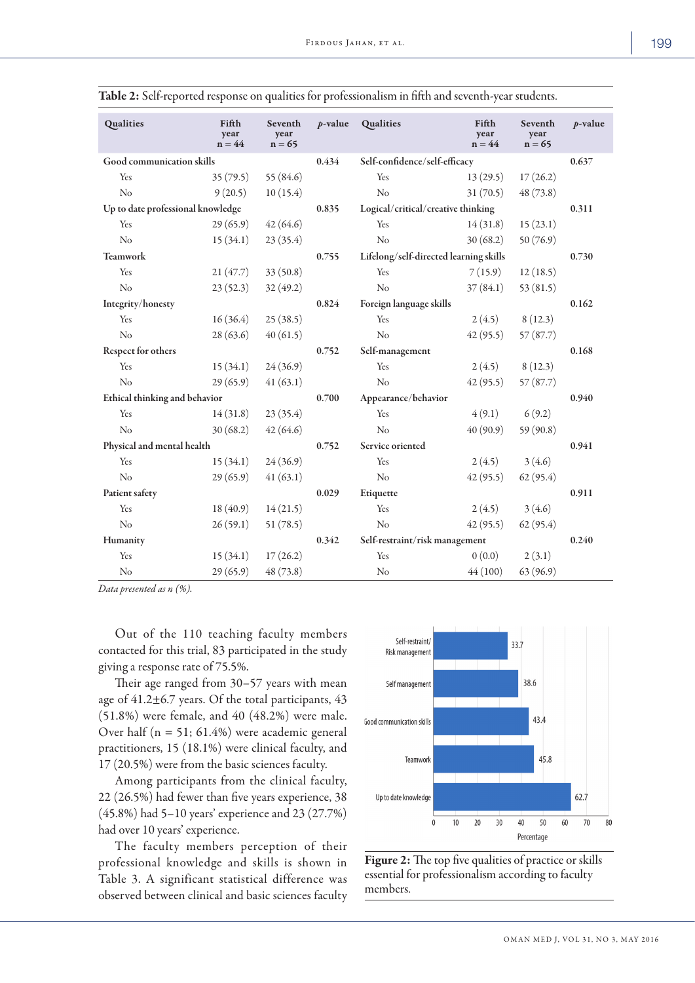| Qualities                         | Fifth<br>year<br>$n = 44$ | Seventh<br>year<br>$n = 65$ | $p$ -value | Qualities                              | Fifth<br>year<br>$n = 44$ | Seventh<br>year<br>$n = 65$ | $p$ -value |
|-----------------------------------|---------------------------|-----------------------------|------------|----------------------------------------|---------------------------|-----------------------------|------------|
| Good communication skills         |                           |                             | 0.434      | Self-confidence/self-efficacy          |                           |                             | 0.637      |
| Yes                               | 35(79.5)                  | 55 (84.6)                   |            | Yes                                    | 13(29.5)                  | 17(26.2)                    |            |
| No                                | 9(20.5)                   | 10(15.4)                    |            | No                                     | 31(70.5)                  | 48 (73.8)                   |            |
| Up to date professional knowledge |                           |                             | 0.835      | Logical/critical/creative thinking     |                           |                             | 0.311      |
| Yes                               | 29(65.9)                  | 42(64.6)                    |            | Yes                                    | 14(31.8)                  | 15(23.1)                    |            |
| No                                | 15(34.1)                  | 23(35.4)                    |            | No                                     | 30(68.2)                  | 50(76.9)                    |            |
| <b>Teamwork</b>                   |                           |                             | 0.755      | Lifelong/self-directed learning skills |                           |                             | 0.730      |
| Yes                               | 21(47.7)                  | 33(50.8)                    |            | Yes                                    | 7(15.9)                   | 12(18.5)                    |            |
| No                                | 23(52.3)                  | 32(49.2)                    |            | No                                     | 37(84.1)                  | 53 $(81.5)$                 |            |
| Integrity/honesty                 |                           |                             | 0.824      | Foreign language skills                |                           |                             | 0.162      |
| Yes                               | 16(36.4)                  | 25(38.5)                    |            | Yes                                    | 2(4.5)                    | 8(12.3)                     |            |
| No                                | 28(63.6)                  | 40(61.5)                    |            | N <sub>o</sub>                         | 42(95.5)                  | 57(87.7)                    |            |
| Respect for others                |                           |                             | 0.752      | Self-management                        |                           |                             | 0.168      |
| Yes                               | 15(34.1)                  | 24(36.9)                    |            | Yes                                    | 2(4.5)                    | 8(12.3)                     |            |
| No                                | 29(65.9)                  | 41(63.1)                    |            | N <sub>o</sub>                         | 42(95.5)                  | 57(87.7)                    |            |
| Ethical thinking and behavior     |                           |                             | 0.700      | Appearance/behavior                    |                           |                             | 0.940      |
| Yes                               | 14(31.8)                  | 23(35.4)                    |            | Yes                                    | 4(9.1)                    | 6(9.2)                      |            |
| No                                | 30(68.2)                  | 42(64.6)                    |            | No                                     | 40(90.9)                  | 59(90.8)                    |            |
| Physical and mental health        |                           |                             | 0.752      | Service oriented                       |                           |                             | 0.941      |
| Yes                               | 15(34.1)                  | 24(36.9)                    |            | Yes                                    | 2(4.5)                    | 3(4.6)                      |            |
| No                                | 29(65.9)                  | 41(63.1)                    |            | No                                     | 42(95.5)                  | 62(95.4)                    |            |
| Patient safety                    |                           |                             | 0.029      | Etiquette                              |                           |                             | 0.911      |
| Yes                               | 18(40.9)                  | 14(21.5)                    |            | Yes                                    | 2(4.5)                    | 3(4.6)                      |            |
| No                                | 26(59.1)                  | 51(78.5)                    |            | N <sub>o</sub>                         | 42(95.5)                  | 62(95.4)                    |            |
| Humanity                          |                           |                             | 0.342      | Self-restraint/risk management         |                           |                             | 0.240      |
| Yes                               | 15(34.1)                  | 17(26.2)                    |            | Yes                                    | 0(0.0)                    | 2(3.1)                      |            |
| No                                | 29(65.9)                  | 48(73.8)                    |            | N <sub>o</sub>                         | 44(100)                   | 63 (96.9)                   |            |

Table 2: Self-reported response on qualities for professionalism in fifth and seventh-year students.

*Data presented as n (%).*

Out of the 110 teaching faculty members contacted for this trial, 83 participated in the study giving a response rate of 75.5%.

Their age ranged from 30–57 years with mean age of 41.2±6.7 years. Of the total participants, 43 (51.8%) were female, and 40 (48.2%) were male. Over half (n = 51; 61.4%) were academic general practitioners, 15 (18.1%) were clinical faculty, and 17 (20.5%) were from the basic sciences faculty.

Among participants from the clinical faculty, 22 (26.5%) had fewer than five years experience, 38 (45.8%) had 5–10 years' experience and 23 (27.7%) had over 10 years' experience.

The faculty members perception of their professional knowledge and skills is shown in Table 3. A significant statistical difference was observed between clinical and basic sciences faculty



Figure 2: The top five qualities of practice or skills essential for professionalism according to faculty members.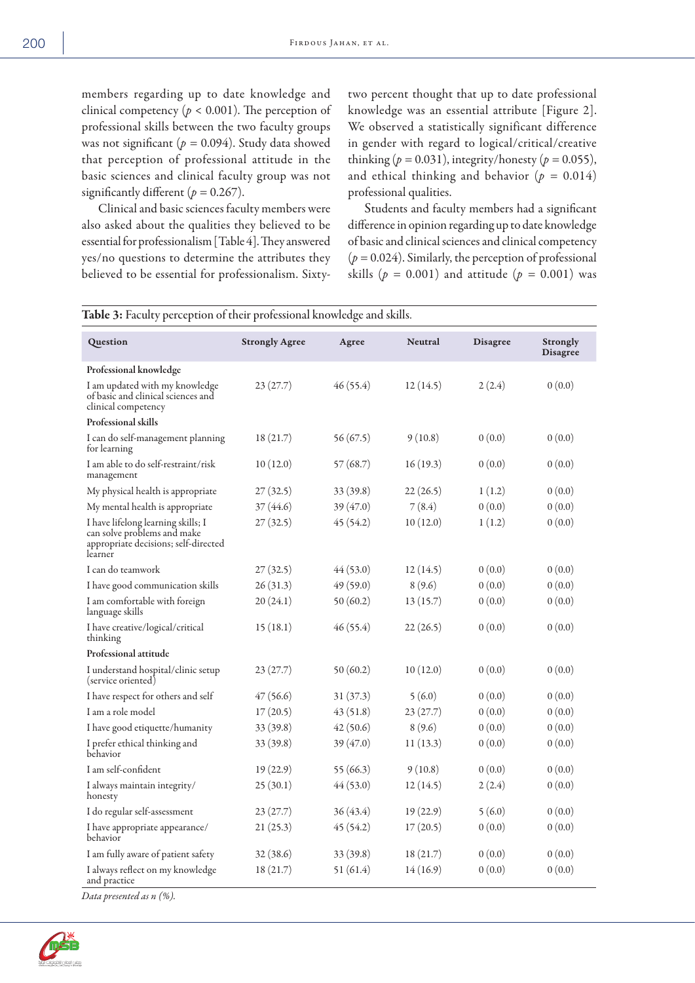members regarding up to date knowledge and clinical competency ( $p < 0.001$ ). The perception of professional skills between the two faculty groups was not significant (*p =* 0.094). Study data showed that perception of professional attitude in the basic sciences and clinical faculty group was not significantly different  $(p = 0.267)$ .

Clinical and basic sciences faculty members were also asked about the qualities they believed to be essential for professionalism [Table 4]. They answered yes/no questions to determine the attributes they believed to be essential for professionalism. Sixtytwo percent thought that up to date professional knowledge was an essential attribute [Figure 2]. We observed a statistically significant difference in gender with regard to logical/critical/creative thinking ( $p = 0.031$ ), integrity/honesty ( $p = 0.055$ ), and ethical thinking and behavior  $(p = 0.014)$ professional qualities.

Students and faculty members had a significant difference in opinion regarding up to date knowledge of basic and clinical sciences and clinical competency (*p =* 0.024). Similarly, the perception of professional skills ( $p = 0.001$ ) and attitude ( $p = 0.001$ ) was

| <b>Table 3:</b> Faculty perception of their professional knowledge and skills.                                       |                       |             |                |                 |                                    |  |  |  |
|----------------------------------------------------------------------------------------------------------------------|-----------------------|-------------|----------------|-----------------|------------------------------------|--|--|--|
| Question                                                                                                             | <b>Strongly Agree</b> | Agree       | <b>Neutral</b> | <b>Disagree</b> | <b>Strongly</b><br><b>Disagree</b> |  |  |  |
| Professional knowledge                                                                                               |                       |             |                |                 |                                    |  |  |  |
| I am updated with my knowledge<br>of basic and clinical sciences and<br>clinical competency                          | 23(27.7)              | 46(55.4)    | 12(14.5)       | 2(2.4)          | 0(0.0)                             |  |  |  |
| <b>Professional skills</b>                                                                                           |                       |             |                |                 |                                    |  |  |  |
| I can do self-management planning<br>for learning                                                                    | 18(21.7)              | 56 (67.5)   | 9(10.8)        | 0(0.0)          | 0(0.0)                             |  |  |  |
| I am able to do self-restraint/risk<br>management                                                                    | 10(12.0)              | 57 (68.7)   | 16(19.3)       | 0(0.0)          | 0(0.0)                             |  |  |  |
| My physical health is appropriate                                                                                    | 27(32.5)              | 33 (39.8)   | 22 (26.5)      | 1(1.2)          | 0(0.0)                             |  |  |  |
| My mental health is appropriate                                                                                      | 37 (44.6)             | 39 (47.0)   | 7 (8.4)        | 0(0.0)          | 0(0.0)                             |  |  |  |
| I have lifelong learning skills; I<br>can solve problems and make<br>appropriate decisions; self-directed<br>learner | 27(32.5)              | 45 (54.2)   | 10(12.0)       | 1(1.2)          | 0(0.0)                             |  |  |  |
| I can do teamwork                                                                                                    | 27(32.5)              | 44(53.0)    | 12(14.5)       | 0(0.0)          | 0(0.0)                             |  |  |  |
| I have good communication skills                                                                                     | 26(31.3)              | 49(59.0)    | 8(9.6)         | 0(0.0)          | 0(0.0)                             |  |  |  |
| I am comfortable with foreign<br>language skills                                                                     | 20(24.1)              | 50(60.2)    | 13(15.7)       | 0(0.0)          | 0(0.0)                             |  |  |  |
| I have creative/logical/critical<br>thinking                                                                         | 15(18.1)              | 46 (55.4)   | 22 (26.5)      | 0(0.0)          | 0(0.0)                             |  |  |  |
| Professional attitude                                                                                                |                       |             |                |                 |                                    |  |  |  |
| I understand hospital/clinic setup<br>(service oriented)                                                             | 23(27.7)              | 50(60.2)    | 10(12.0)       | 0(0.0)          | 0(0.0)                             |  |  |  |
| I have respect for others and self                                                                                   | 47(56.6)              | 31(37.3)    | 5(6.0)         | 0(0.0)          | 0(0.0)                             |  |  |  |
| I am a role model                                                                                                    | 17(20.5)              | 43(51.8)    | 23(27.7)       | 0(0.0)          | 0(0.0)                             |  |  |  |
| I have good etiquette/humanity                                                                                       | 33(39.8)              | 42(50.6)    | 8(9.6)         | 0(0.0)          | 0(0.0)                             |  |  |  |
| I prefer ethical thinking and<br>behavior                                                                            | 33(39.8)              | 39 (47.0)   | 11(13.3)       | 0(0.0)          | 0(0.0)                             |  |  |  |
| I am self-confident                                                                                                  | 19(22.9)              | 55 $(66.3)$ | 9(10.8)        | 0(0.0)          | 0(0.0)                             |  |  |  |
| I always maintain integrity/<br>honesty                                                                              | 25(30.1)              | 44(53.0)    | 12(14.5)       | 2(2.4)          | 0(0.0)                             |  |  |  |
| I do regular self-assessment                                                                                         | 23(27.7)              | 36 (43.4)   | 19(22.9)       | 5(6.0)          | 0(0.0)                             |  |  |  |
| I have appropriate appearance/<br>behavior                                                                           | 21(25.3)              | 45(54.2)    | 17(20.5)       | 0(0.0)          | 0(0.0)                             |  |  |  |
| I am fully aware of patient safety                                                                                   | 32 (38.6)             | 33 (39.8)   | 18 (21.7)      | 0(0.0)          | 0(0.0)                             |  |  |  |
| I always reflect on my knowledge<br>and practice                                                                     | 18(21.7)              | 51(61.4)    | 14(16.9)       | 0(0.0)          | 0(0.0)                             |  |  |  |

*Data presented as n (%).*

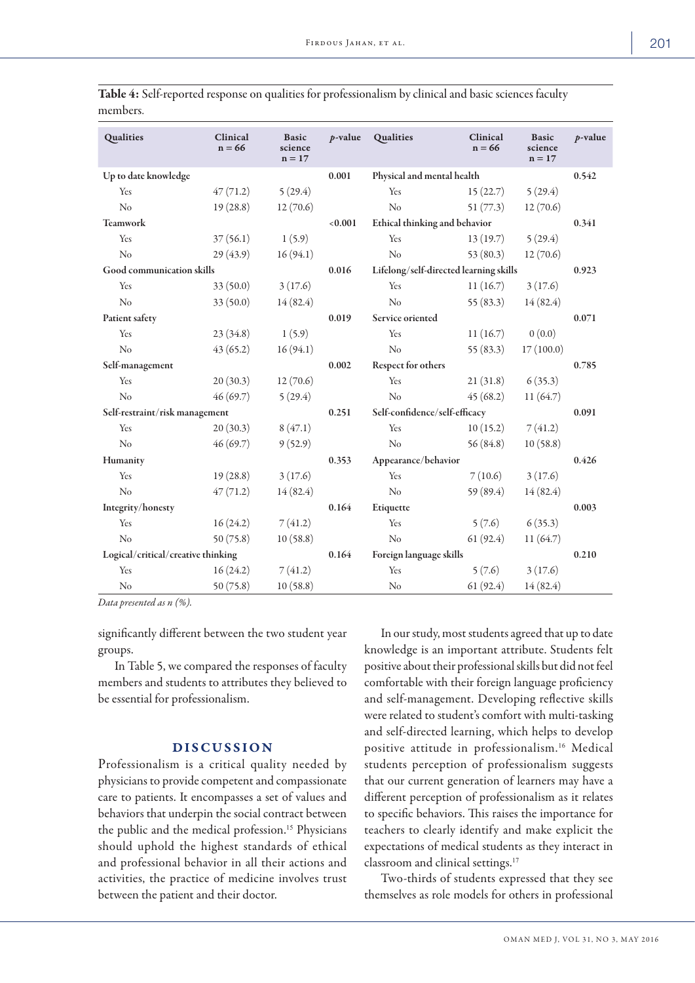| Qualities                          | Clinical<br>$n = 66$ | <b>Basic</b><br>science<br>$n = 17$ | $p$ -value | Qualities                              | Clinical<br>$n = 66$ | <b>Basic</b><br>science<br>$n = 17$ | $p$ -value |
|------------------------------------|----------------------|-------------------------------------|------------|----------------------------------------|----------------------|-------------------------------------|------------|
| Up to date knowledge               |                      |                                     | 0.001      | Physical and mental health             |                      |                                     | 0.542      |
| Yes                                | 47(71.2)             | 5(29.4)                             |            | Yes                                    | 15(22.7)             | 5(29.4)                             |            |
| No                                 | 19(28.8)             | 12(70.6)                            |            | No                                     | 51(77.3)             | 12(70.6)                            |            |
| <b>Teamwork</b>                    |                      |                                     | < 0.001    | Ethical thinking and behavior          |                      |                                     | 0.341      |
| Yes                                | 37(56.1)             | 1(5.9)                              |            | Yes                                    | 13(19.7)             | 5(29.4)                             |            |
| No                                 | 29(43.9)             | 16(94.1)                            |            | No                                     | 53(80.3)             | 12(70.6)                            |            |
| Good communication skills          |                      |                                     | 0.016      | Lifelong/self-directed learning skills |                      |                                     | 0.923      |
| Yes                                | 33(50.0)             | 3(17.6)                             |            | Yes                                    | 11(16.7)             | 3(17.6)                             |            |
| N <sub>o</sub>                     | 33(50.0)             | 14(82.4)                            |            | N <sub>o</sub>                         | 55(83.3)             | 14(82.4)                            |            |
| Patient safety                     |                      |                                     | 0.019      | Service oriented                       |                      |                                     | 0.071      |
| Yes                                | 23(34.8)             | 1(5.9)                              |            | Yes                                    | 11(16.7)             | 0(0.0)                              |            |
| No                                 | 43(65.2)             | 16(94.1)                            |            | No                                     | 55(83.3)             | 17(100.0)                           |            |
| Self-management                    |                      |                                     | 0.002      | Respect for others                     |                      |                                     | 0.785      |
| Yes                                | 20(30.3)             | 12(70.6)                            |            | Yes                                    | 21(31.8)             | 6(35.3)                             |            |
| No                                 | 46(69.7)             | 5(29.4)                             |            | No                                     | 45(68.2)             | 11(64.7)                            |            |
| Self-restraint/risk management     |                      |                                     | 0.251      | Self-confidence/self-efficacy          |                      |                                     | 0.091      |
| Yes                                | 20(30.3)             | 8(47.1)                             |            | Yes                                    | 10(15.2)             | 7(41.2)                             |            |
| N <sub>o</sub>                     | 46(69.7)             | 9(52.9)                             |            | No                                     | 56(84.8)             | 10(58.8)                            |            |
| Humanity                           |                      |                                     | 0.353      | Appearance/behavior                    |                      |                                     | 0.426      |
| Yes                                | 19(28.8)             | 3(17.6)                             |            | Yes                                    | 7(10.6)              | 3(17.6)                             |            |
| N <sub>o</sub>                     | 47(71.2)             | 14(82.4)                            |            | N <sub>o</sub>                         | 59 (89.4)            | 14(82.4)                            |            |
| Integrity/honesty                  |                      |                                     | 0.164      | Etiquette                              |                      |                                     | 0.003      |
| Yes                                | 16(24.2)             | 7(41.2)                             |            | Yes                                    | 5(7.6)               | 6(35.3)                             |            |
| N <sub>o</sub>                     | 50(75.8)             | 10(58.8)                            |            | No                                     | 61(92.4)             | 11(64.7)                            |            |
| Logical/critical/creative thinking |                      |                                     | 0.164      | Foreign language skills                |                      |                                     | 0.210      |
| Yes                                | 16(24.2)             | 7(41.2)                             |            | Yes                                    | 5(7.6)               | 3(17.6)                             |            |
| N <sub>o</sub>                     | 50(75.8)             | 10(58.8)                            |            | N <sub>o</sub>                         | 61(92.4)             | 14(82.4)                            |            |

Table 4: Self-reported response on qualities for professionalism by clinical and basic sciences faculty members.

*Data presented as n (%).*

significantly different between the two student year groups.

In Table 5, we compared the responses of faculty members and students to attributes they believed to be essential for professionalism.

# DISCUSSION

Professionalism is a critical quality needed by physicians to provide competent and compassionate care to patients. It encompasses a set of values and behaviors that underpin the social contract between the public and the medical profession.<sup>15</sup> Physicians should uphold the highest standards of ethical and professional behavior in all their actions and activities, the practice of medicine involves trust between the patient and their doctor.

In our study, most students agreed that up to date knowledge is an important attribute. Students felt positive about their professional skills but did not feel comfortable with their foreign language proficiency and self-management. Developing reflective skills were related to student's comfort with multi-tasking and self-directed learning, which helps to develop positive attitude in professionalism.16 Medical students perception of professionalism suggests that our current generation of learners may have a different perception of professionalism as it relates to specific behaviors. This raises the importance for teachers to clearly identify and make explicit the expectations of medical students as they interact in classroom and clinical settings.<sup>17</sup>

Two-thirds of students expressed that they see themselves as role models for others in professional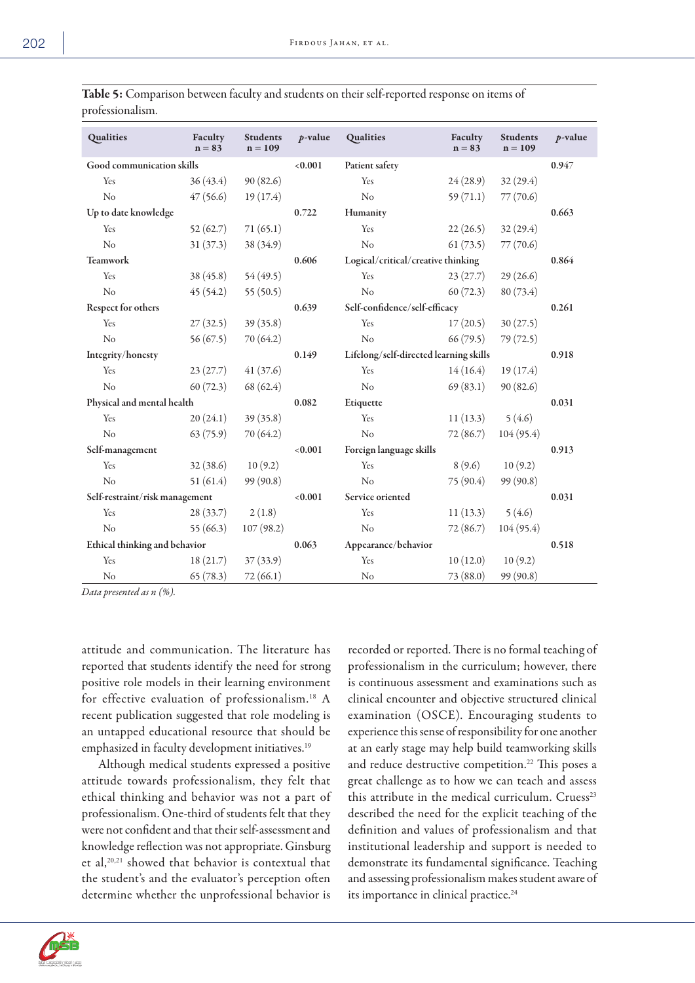| Qualities                      | Faculty<br>$n = 83$ | <b>Students</b><br>$n = 109$ | $p$ -value          | Qualities                              | Faculty<br>$n = 83$ | <b>Students</b><br>$n = 109$ | $p$ -value |
|--------------------------------|---------------------|------------------------------|---------------------|----------------------------------------|---------------------|------------------------------|------------|
| Good communication skills      |                     |                              | < 0.001             | Patient safety                         |                     |                              | 0.947      |
| Yes                            | 36(43.4)            | 90 (82.6)                    |                     | Yes                                    | 24(28.9)            | 32(29.4)                     |            |
| No                             | 47(56.6)            | 19(17.4)                     |                     | No                                     | 59(71.1)            | 77(70.6)                     |            |
| Up to date knowledge           |                     |                              | 0.722               | Humanity                               |                     |                              | 0.663      |
| Yes                            | 52(62.7)            | 71(65.1)                     |                     | Yes                                    | 22(26.5)            | 32(29.4)                     |            |
| No                             | 31(37.3)            | 38 (34.9)                    |                     | No                                     | 61(73.5)            | 77(70.6)                     |            |
| <b>Teamwork</b>                |                     |                              | 0.606               | Logical/critical/creative thinking     |                     |                              | 0.864      |
| Yes                            | 38(45.8)            | 54(49.5)                     |                     | Yes                                    | 23(27.7)            | 29(26.6)                     |            |
| N <sub>o</sub>                 | 45(54.2)            | 55(50.5)                     |                     | No                                     | 60(72.3)            | 80 (73.4)                    |            |
| Respect for others             |                     |                              | 0.639               | Self-confidence/self-efficacy          |                     |                              | 0.261      |
| Yes                            | 27(32.5)            | 39(35.8)                     |                     | Yes                                    | 17(20.5)            | 30(27.5)                     |            |
| N <sub>o</sub>                 | 56(67.5)            | 70 (64.2)                    |                     | N <sub>o</sub>                         | 66(79.5)            | 79 (72.5)                    |            |
| Integrity/honesty              |                     |                              | 0.149               | Lifelong/self-directed learning skills |                     |                              | 0.918      |
| Yes                            | 23(27.7)            | 41(37.6)                     |                     | Yes                                    | 14(16.4)            | 19 (17.4)                    |            |
| No                             | 60(72.3)            | 68 (62.4)                    |                     | No                                     | 69(83.1)            | 90(82.6)                     |            |
| Physical and mental health     |                     |                              | 0.082               | Etiquette                              |                     |                              | 0.031      |
| Yes                            | 20(24.1)            | 39(35.8)                     |                     | Yes                                    | 11(13.3)            | 5(4.6)                       |            |
| N <sub>o</sub>                 | 63(75.9)            | 70(64.2)                     |                     | N <sub>o</sub>                         | 72(86.7)            | 104(95.4)                    |            |
| Self-management                |                     |                              | < 0.001             | Foreign language skills                |                     |                              | 0.913      |
| Yes                            | 32(38.6)            | 10(9.2)                      |                     | Yes                                    | 8(9.6)              | 10(9.2)                      |            |
| No                             | 51(61.4)            | 99(90.8)                     |                     | No                                     | 75 (90.4)           | 99(90.8)                     |            |
| Self-restraint/risk management |                     | < 0.001                      | Service oriented    |                                        |                     | 0.031                        |            |
| Yes                            | 28(33.7)            | 2(1.8)                       |                     | Yes                                    | 11(13.3)            | 5(4.6)                       |            |
| No                             | 55 (66.3)           | 107(98.2)                    |                     | $\rm No$                               | 72(86.7)            | 104 (95.4)                   |            |
| Ethical thinking and behavior  |                     | 0.063                        | Appearance/behavior |                                        |                     | 0.518                        |            |
| Yes                            | 18(21.7)            | 37(33.9)                     |                     | Yes                                    | 10(12.0)            | 10(9.2)                      |            |
| N <sub>o</sub>                 | 65(78.3)            | 72(66.1)                     |                     | No                                     | 73 (88.0)           | 99 (90.8)                    |            |

Table 5: Comparison between faculty and students on their self-reported response on items of professionalism.

*Data presented as n (%).*

attitude and communication. The literature has reported that students identify the need for strong positive role models in their learning environment for effective evaluation of professionalism.18 A recent publication suggested that role modeling is an untapped educational resource that should be emphasized in faculty development initiatives.<sup>19</sup>

Although medical students expressed a positive attitude towards professionalism, they felt that ethical thinking and behavior was not a part of professionalism. One-third of students felt that they were not confident and that their self-assessment and knowledge reflection was not appropriate. Ginsburg et al,20,21 showed that behavior is contextual that the student's and the evaluator's perception often determine whether the unprofessional behavior is recorded or reported. There is no formal teaching of professionalism in the curriculum; however, there is continuous assessment and examinations such as clinical encounter and objective structured clinical examination (OSCE). Encouraging students to experience this sense of responsibility for one another at an early stage may help build teamworking skills and reduce destructive competition.<sup>22</sup> This poses a great challenge as to how we can teach and assess this attribute in the medical curriculum. Cruess<sup>23</sup> described the need for the explicit teaching of the definition and values of professionalism and that institutional leadership and support is needed to demonstrate its fundamental significance. Teaching and assessing professionalism makes student aware of its importance in clinical practice.<sup>24</sup>

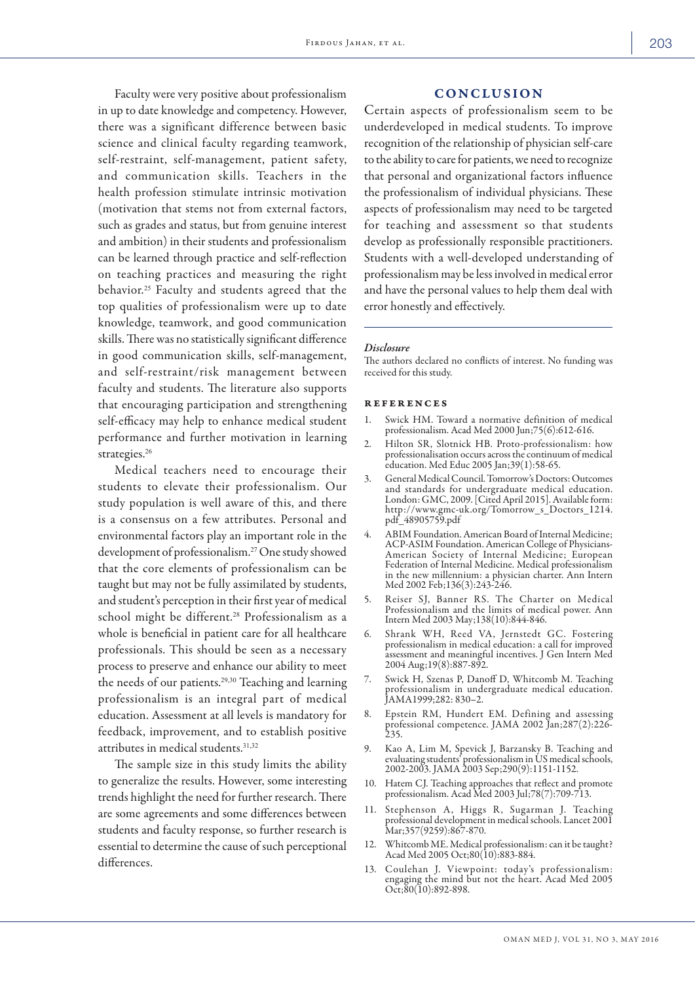Faculty were very positive about professionalism in up to date knowledge and competency. However, there was a significant difference between basic science and clinical faculty regarding teamwork, self-restraint, self-management, patient safety, and communication skills. Teachers in the health profession stimulate intrinsic motivation (motivation that stems not from external factors, such as grades and status, but from genuine interest and ambition) in their students and professionalism can be learned through practice and self-reflection on teaching practices and measuring the right behavior.25 Faculty and students agreed that the top qualities of professionalism were up to date knowledge, teamwork, and good communication skills. There was no statistically significant difference in good communication skills, self-management, and self-restraint/risk management between faculty and students. The literature also supports that encouraging participation and strengthening self-efficacy may help to enhance medical student performance and further motivation in learning strategies.<sup>26</sup>

Medical teachers need to encourage their students to elevate their professionalism. Our study population is well aware of this, and there is a consensus on a few attributes. Personal and environmental factors play an important role in the development of professionalism.27 One study showed that the core elements of professionalism can be taught but may not be fully assimilated by students, and student's perception in their first year of medical school might be different.<sup>28</sup> Professionalism as a whole is beneficial in patient care for all healthcare professionals. This should be seen as a necessary process to preserve and enhance our ability to meet the needs of our patients.29,30 Teaching and learning professionalism is an integral part of medical education. Assessment at all levels is mandatory for feedback, improvement, and to establish positive attributes in medical students.31,32

The sample size in this study limits the ability to generalize the results. However, some interesting trends highlight the need for further research. There are some agreements and some differences between students and faculty response, so further research is essential to determine the cause of such perceptional differences.

# CONCLUSION

Certain aspects of professionalism seem to be underdeveloped in medical students. To improve recognition of the relationship of physician self-care to the ability to care for patients, we need to recognize that personal and organizational factors influence the professionalism of individual physicians. These aspects of professionalism may need to be targeted for teaching and assessment so that students develop as professionally responsible practitioners. Students with a well-developed understanding of professionalism may be less involved in medical error and have the personal values to help them deal with error honestly and effectively.

#### *Disclosure*

The authors declared no conflicts of interest. No funding was received for this study.

#### references

- 1. Swick HM. Toward a normative definition of medical professionalism. Acad Med 2000 Jun;75(6):612-616.
- 2. Hilton SR, Slotnick HB. Proto-professionalism: how professionalisation occurs across the continuum of medical education. Med Educ 2005 Jan;39(1):58-65.
- 3. General Medical Council. Tomorrow's Doctors: Outcomes and standards for undergraduate medical education. London: GMC, 2009. [Cited April 2015]. Available form: http://www.gmc-uk.org/Tomorrow\_s\_Doctors\_1214. pdf\_48905759.pdf
- 4. ABIM Foundation. American Board of Internal Medicine; ACP-ASIM Foundation. American College of Physicians-American Society of Internal Medicine; European Federation of Internal Medicine. Medical professionalism in the new millennium: a physician charter. Ann Intern Med 2002 Feb;136(3):243-246.
- 5. Reiser SJ, Banner RS. The Charter on Medical Professionalism and the limits of medical power. Ann Intern Med 2003 May;138(10):844-846.
- 6. Shrank WH, Reed VA, Jernstedt GC. Fostering professionalism in medical education: a call for improved assessment and meaningful incentives. J Gen Intern Med 2004 Aug;19(8):887-892.
- 7. Swick H, Szenas P, Danoff D, Whitcomb M. Teaching professionalism in undergraduate medical education. JAMA1999;282: 830–2.
- 8. Epstein RM, Hundert EM. Defining and assessing professional competence. JAMA 2002 Jan;287(2):226- 235.
- 9. Kao A, Lim M, Spevick J, Barzansky B. Teaching and evaluating students' professionalism in US medical schools, 2002-2003. JAMA 2003 Sep;290(9):1151-1152.
- 10. Hatem CJ. Teaching approaches that reflect and promote professionalism. Acad Med 2003 Jul;78(7):709-713.
- 11. Stephenson A, Higgs R, Sugarman J. Teaching professional development in medical schools. Lancet 2001 Mar;357(9259):867-870.
- 12. Whitcomb ME. Medical professionalism: can it be taught? Acad Med 2005 Oct;80(10):883-884.
- 13. Coulehan J. Viewpoint: today's professionalism: engaging the mind but not the heart. Acad Med 2005  $Oct$ ;80(10):892-898.